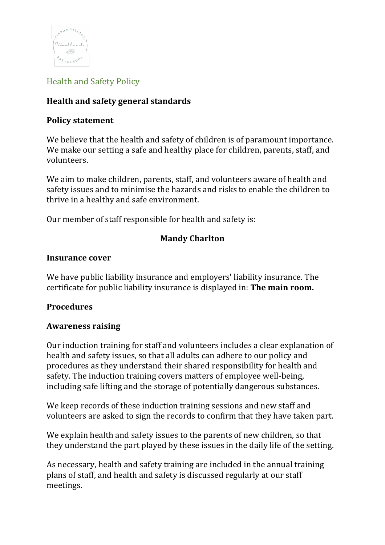

# Health and Safety Policy

## **Health and safety general standards**

### **Policy statement**

We believe that the health and safety of children is of paramount importance. We make our setting a safe and healthy place for children, parents, staff, and volunteers.

We aim to make children, parents, staff, and volunteers aware of health and safety issues and to minimise the hazards and risks to enable the children to thrive in a healthy and safe environment.

Our member of staff responsible for health and safety is:

### **Mandy Charlton**

#### **Insurance cover**

We have public liability insurance and employers' liability insurance. The certificate for public liability insurance is displayed in: **The main room.** 

#### **Procedures**

#### **Awareness raising**

Our induction training for staff and volunteers includes a clear explanation of health and safety issues, so that all adults can adhere to our policy and procedures as they understand their shared responsibility for health and safety. The induction training covers matters of employee well-being, including safe lifting and the storage of potentially dangerous substances.

We keep records of these induction training sessions and new staff and volunteers are asked to sign the records to confirm that they have taken part.

We explain health and safety issues to the parents of new children, so that they understand the part played by these issues in the daily life of the setting.

As necessary, health and safety training are included in the annual training plans of staff, and health and safety is discussed regularly at our staff meetings.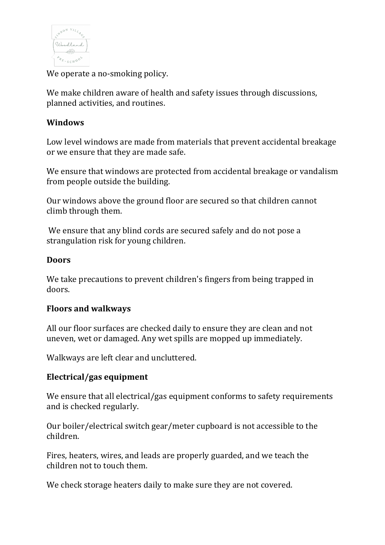

We operate a no-smoking policy.

We make children aware of health and safety issues through discussions, planned activities, and routines.

### **Windows**

Low level windows are made from materials that prevent accidental breakage or we ensure that they are made safe.

We ensure that windows are protected from accidental breakage or vandalism from people outside the building.

Our windows above the ground floor are secured so that children cannot climb through them.

We ensure that any blind cords are secured safely and do not pose a strangulation risk for young children.

#### **Doors**

We take precautions to prevent children's fingers from being trapped in doors.

#### **Floors and walkways**

All our floor surfaces are checked daily to ensure they are clean and not uneven, wet or damaged. Any wet spills are mopped up immediately.

Walkways are left clear and uncluttered.

### **Electrical/gas equipment**

We ensure that all electrical/gas equipment conforms to safety requirements and is checked regularly.

Our boiler/electrical switch gear/meter cupboard is not accessible to the children.

Fires, heaters, wires, and leads are properly guarded, and we teach the children not to touch them.

We check storage heaters daily to make sure they are not covered.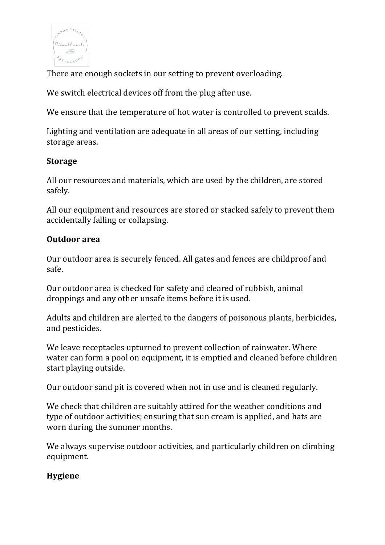

There are enough sockets in our setting to prevent overloading.

We switch electrical devices off from the plug after use.

We ensure that the temperature of hot water is controlled to prevent scalds.

Lighting and ventilation are adequate in all areas of our setting, including storage areas.

### **Storage**

All our resources and materials, which are used by the children, are stored safely.

All our equipment and resources are stored or stacked safely to prevent them accidentally falling or collapsing.

### **Outdoor area**

Our outdoor area is securely fenced. All gates and fences are childproof and safe.

Our outdoor area is checked for safety and cleared of rubbish, animal droppings and any other unsafe items before it is used.

Adults and children are alerted to the dangers of poisonous plants, herbicides, and pesticides.

We leave receptacles upturned to prevent collection of rainwater. Where water can form a pool on equipment, it is emptied and cleaned before children start playing outside.

Our outdoor sand pit is covered when not in use and is cleaned regularly.

We check that children are suitably attired for the weather conditions and type of outdoor activities; ensuring that sun cream is applied, and hats are worn during the summer months.

We always supervise outdoor activities, and particularly children on climbing equipment.

# **Hygiene**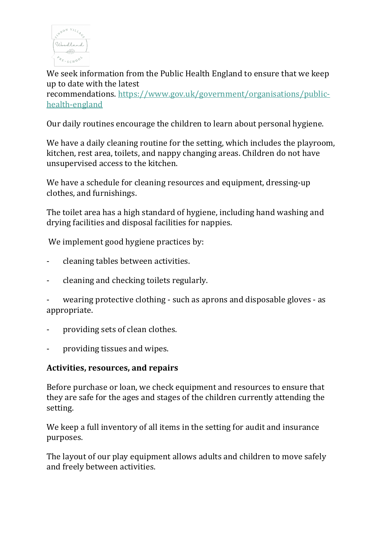

We seek information from the Public Health England to ensure that we keep up to date with the latest recommendations. https://www.gov.uk/government/organisations/publichealth-england

Our daily routines encourage the children to learn about personal hygiene.

We have a daily cleaning routine for the setting, which includes the playroom, kitchen, rest area, toilets, and nappy changing areas. Children do not have unsupervised access to the kitchen.

We have a schedule for cleaning resources and equipment, dressing-up clothes, and furnishings.

The toilet area has a high standard of hygiene, including hand washing and drying facilities and disposal facilities for nappies.

We implement good hygiene practices by:

- cleaning tables between activities.
- cleaning and checking toilets regularly.
- wearing protective clothing such as aprons and disposable gloves as appropriate.
- providing sets of clean clothes.
- providing tissues and wipes.

#### **Activities, resources, and repairs**

Before purchase or loan, we check equipment and resources to ensure that they are safe for the ages and stages of the children currently attending the setting.

We keep a full inventory of all items in the setting for audit and insurance purposes.

The layout of our play equipment allows adults and children to move safely and freely between activities.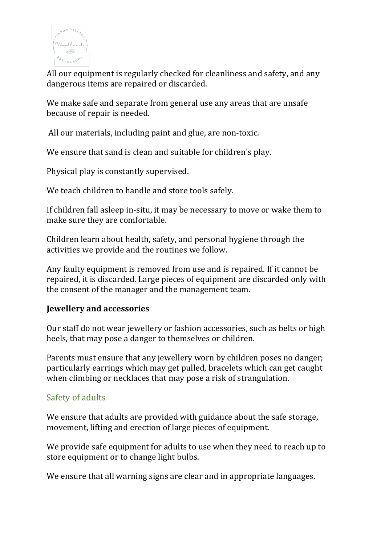

All our equipment is regularly checked for cleanliness and safety, and any dangerous items are repaired or discarded.

We make safe and separate from general use any areas that are unsafe because of repair is needed.

All our materials, including paint and glue, are non-toxic.

We ensure that sand is clean and suitable for children's play.

Physical play is constantly supervised.

We teach children to handle and store tools safely.

If children fall asleep in-situ, it may be necessary to move or wake them to make sure they are comfortable.

Children learn about health, safety, and personal hygiene through the activities we provide and the routines we follow.

Any faulty equipment is removed from use and is repaired. If it cannot be repaired, it is discarded. Large pieces of equipment are discarded only with the consent of the manager and the management team.

### **Jewellery and accessories**

Our staff do not wear jewellery or fashion accessories, such as belts or high heels, that may pose a danger to themselves or children.

Parents must ensure that any jewellery worn by children poses no danger: particularly earrings which may get pulled, bracelets which can get caught when climbing or necklaces that may pose a risk of strangulation.

### Safety of adults

We ensure that adults are provided with guidance about the safe storage, movement, lifting and erection of large pieces of equipment.

We provide safe equipment for adults to use when they need to reach up to store equipment or to change light bulbs.

We ensure that all warning signs are clear and in appropriate languages.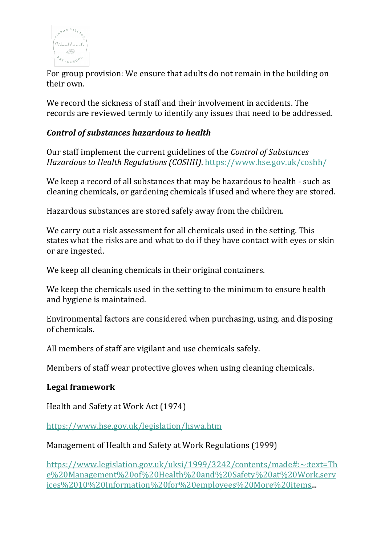

For group provision: We ensure that adults do not remain in the building on their own.

We record the sickness of staff and their involvement in accidents. The records are reviewed termly to identify any issues that need to be addressed.

## *Control of substances hazardous to health*

Our staff implement the current guidelines of the *Control of Substances Hazardous to Health Regulations (COSHH).* https://www.hse.gov.uk/coshh/

We keep a record of all substances that may be hazardous to health - such as cleaning chemicals, or gardening chemicals if used and where they are stored.

Hazardous substances are stored safely away from the children.

We carry out a risk assessment for all chemicals used in the setting. This states what the risks are and what to do if they have contact with eyes or skin or are ingested.

We keep all cleaning chemicals in their original containers.

We keep the chemicals used in the setting to the minimum to ensure health and hygiene is maintained.

Environmental factors are considered when purchasing, using, and disposing of chemicals.

All members of staff are vigilant and use chemicals safely.

Members of staff wear protective gloves when using cleaning chemicals.

#### **Legal framework**

Health and Safety at Work Act (1974)

https://www.hse.gov.uk/legislation/hswa.htm

#### Management of Health and Safety at Work Regulations (1999)

https://www.legislation.gov.uk/uksi/1999/3242/contents/made#:~:text=Th e%20Management%20of%20Health%20and%20Safety%20at%20Work,serv ices%2010%20Information%20for%20employees%20More%20items...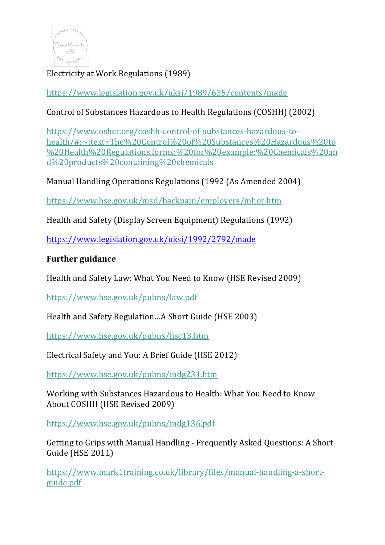

Electricity at Work Regulations (1989)

https://www.legislation.gov.uk/uksi/1989/635/contents/made

Control of Substances Hazardous to Health Regulations (COSHH) (2002)

https://www.oshcr.org/coshh-control-of-substances-hazardous-tohealth/#:~:text=The%20Control%20of%20Substances%20Hazardous%20to %20Health%20Regulations,forms;%20for%20example:%20Chemicals%20an d%20products%20containing%20chemicals

Manual Handling Operations Regulations (1992 (As Amended 2004)

https://www.hse.gov.uk/msd/backpain/employers/mhor.htm

Health and Safety (Display Screen Equipment) Regulations (1992)

https://www.legislation.gov.uk/uksi/1992/2792/made

# **Further guidance**

Health and Safety Law: What You Need to Know (HSE Revised 2009)

https://www.hse.gov.uk/pubns/law.pdf

Health and Safety Regulation...A Short Guide (HSE 2003)

https://www.hse.gov.uk/pubns/hsc13.htm

Electrical Safety and You: A Brief Guide (HSE 2012)

https://www.hse.gov.uk/pubns/indg231.htm

Working with Substances Hazardous to Health: What You Need to Know About COSHH (HSE Revised 2009)

https://www.hse.gov.uk/pubns/indg136.pdf

Getting to Grips with Manual Handling - Frequently Asked Ouestions: A Short Guide (HSE 2011)

https://www.mark1training.co.uk/library/files/manual-handling-a-shortguide.pdf